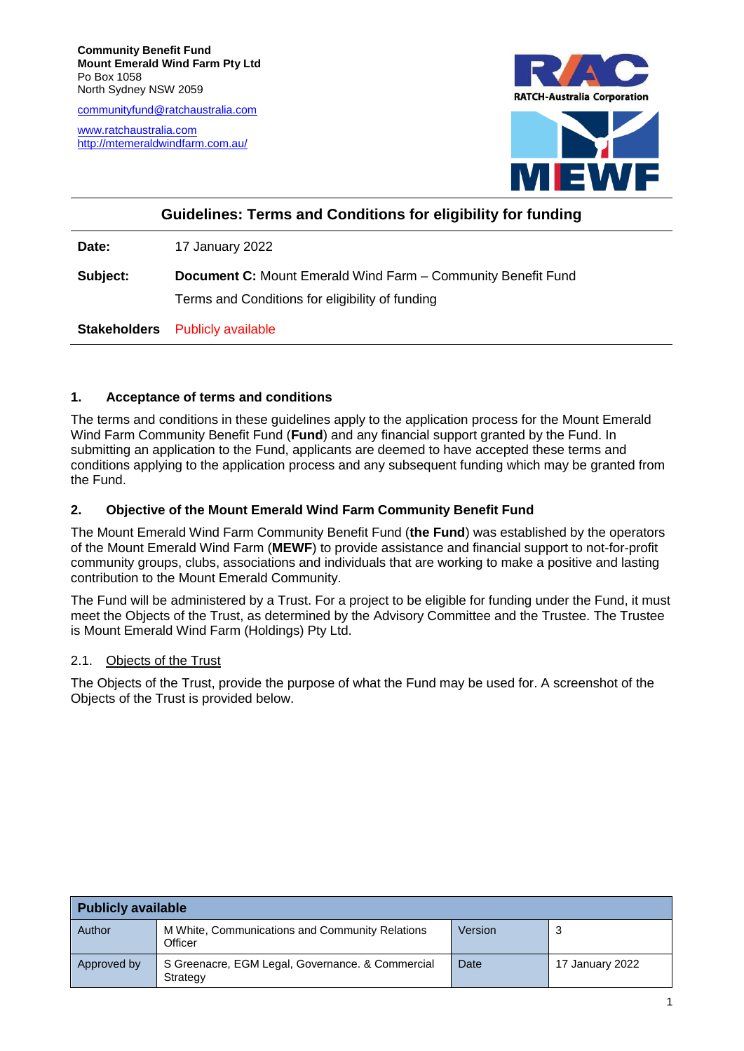[communityfund@ratchaustralia.com](mailto:communityfund@ratchaustralia.com)

[www.ratchaustralia.com](http://www.ratchaustralia.com/) <http://mtemeraldwindfarm.com.au/>



# **Guidelines: Terms and Conditions for eligibility for funding**

**Date:** 17 January 2022

**Subject: Document C:** Mount Emerald Wind Farm – Community Benefit Fund Terms and Conditions for eligibility of funding

**Stakeholders** Publicly available

## **1. Acceptance of terms and conditions**

The terms and conditions in these guidelines apply to the application process for the Mount Emerald Wind Farm Community Benefit Fund (**Fund**) and any financial support granted by the Fund. In submitting an application to the Fund, applicants are deemed to have accepted these terms and conditions applying to the application process and any subsequent funding which may be granted from the Fund.

## **2. Objective of the Mount Emerald Wind Farm Community Benefit Fund**

The Mount Emerald Wind Farm Community Benefit Fund (**the Fund**) was established by the operators of the Mount Emerald Wind Farm (**MEWF**) to provide assistance and financial support to not-for-profit community groups, clubs, associations and individuals that are working to make a positive and lasting contribution to the Mount Emerald Community.

The Fund will be administered by a Trust. For a project to be eligible for funding under the Fund, it must meet the Objects of the Trust, as determined by the Advisory Committee and the Trustee. The Trustee is Mount Emerald Wind Farm (Holdings) Pty Ltd.

# <span id="page-0-0"></span>2.1. Objects of the Trust

The Objects of the Trust, provide the purpose of what the Fund may be used for. A screenshot of the Objects of the Trust is provided below.

| <b>Publicly available</b> |                                                              |         |                 |
|---------------------------|--------------------------------------------------------------|---------|-----------------|
| Author                    | M White, Communications and Community Relations<br>Officer   | Version | 3               |
| Approved by               | S Greenacre, EGM Legal, Governance, & Commercial<br>Strategy | Date    | 17 January 2022 |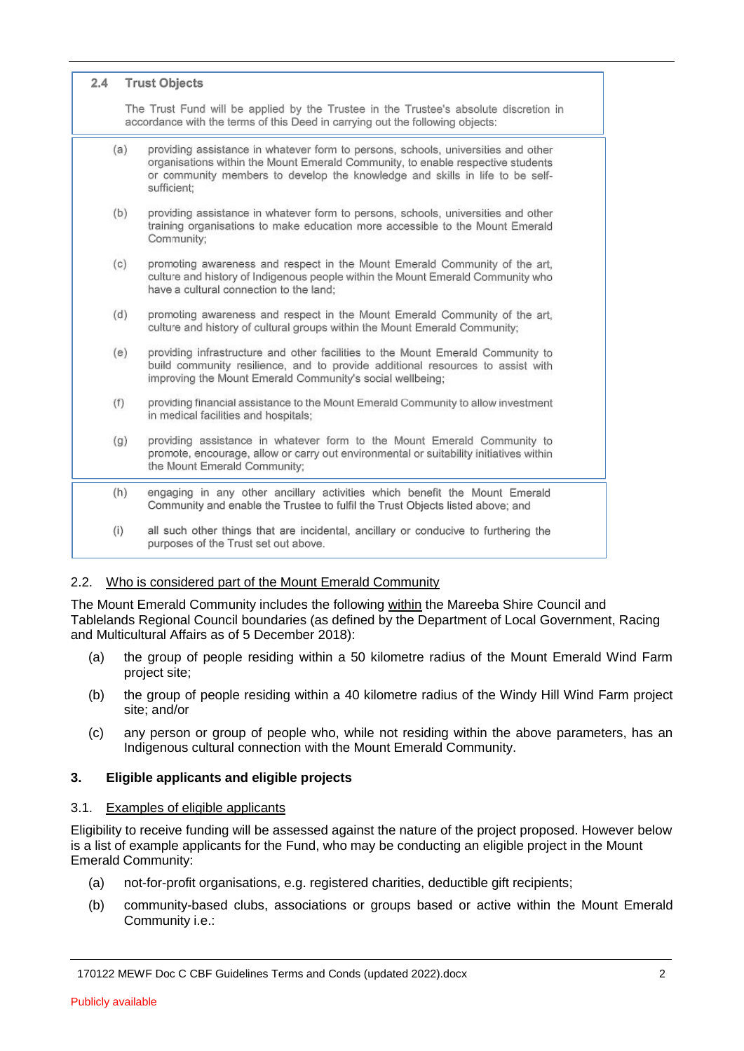| 2.4 | <b>Trust Objects</b>                                                                                                                                                                                                                                                |
|-----|---------------------------------------------------------------------------------------------------------------------------------------------------------------------------------------------------------------------------------------------------------------------|
|     | The Trust Fund will be applied by the Trustee in the Trustee's absolute discretion in<br>accordance with the terms of this Deed in carrying out the following objects:                                                                                              |
| (a) | providing assistance in whatever form to persons, schools, universities and other<br>organisations within the Mount Emerald Community, to enable respective students<br>or community members to develop the knowledge and skills in life to be self-<br>sufficient: |
| (b) | providing assistance in whatever form to persons, schools, universities and other<br>training organisations to make education more accessible to the Mount Emerald<br>Community;                                                                                    |
| (c) | promoting awareness and respect in the Mount Emerald Community of the art,<br>culture and history of Indigenous people within the Mount Emerald Community who<br>have a cultural connection to the land;                                                            |
| (d) | promoting awareness and respect in the Mount Emerald Community of the art,<br>culture and history of cultural groups within the Mount Emerald Community;                                                                                                            |
| (e) | providing infrastructure and other facilities to the Mount Emerald Community to<br>build community resilience, and to provide additional resources to assist with<br>improving the Mount Emerald Community's social wellbeing;                                      |
| (f) | providing financial assistance to the Mount Emerald Community to allow investment<br>in medical facilities and hospitals;                                                                                                                                           |
| (g) | providing assistance in whatever form to the Mount Emerald Community to<br>promote, encourage, allow or carry out environmental or suitability initiatives within<br>the Mount Emerald Community;                                                                   |
| (h) | engaging in any other ancillary activities which benefit the Mount Emerald<br>Community and enable the Trustee to fulfil the Trust Objects listed above; and                                                                                                        |
| (i) | all such other things that are incidental, ancillary or conducive to furthering the<br>purposes of the Trust set out above.                                                                                                                                         |

# <span id="page-1-1"></span>2.2. Who is considered part of the Mount Emerald Community

The Mount Emerald Community includes the following within the Mareeba Shire Council and Tablelands Regional Council boundaries (as defined by the Department of Local Government, Racing and Multicultural Affairs as of 5 December 2018):

- (a) the group of people residing within a 50 kilometre radius of the Mount Emerald Wind Farm project site;
- (b) the group of people residing within a 40 kilometre radius of the Windy Hill Wind Farm project site; and/or
- (c) any person or group of people who, while not residing within the above parameters, has an Indigenous cultural connection with the Mount Emerald Community.

#### **3. Eligible applicants and eligible projects**

#### <span id="page-1-0"></span>3.1. Examples of eligible applicants

Eligibility to receive funding will be assessed against the nature of the project proposed. However below is a list of example applicants for the Fund, who may be conducting an eligible project in the Mount Emerald Community:

- (a) not-for-profit organisations, e.g. registered charities, deductible gift recipients;
- (b) community-based clubs, associations or groups based or active within the Mount Emerald Community i.e.: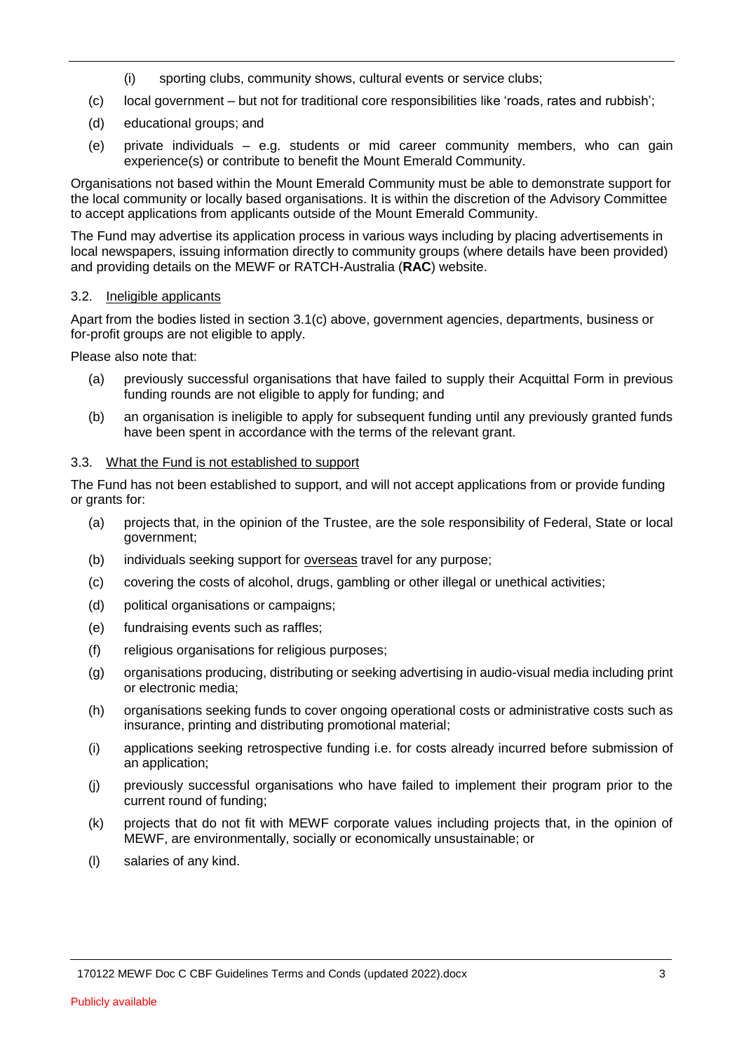- (i) sporting clubs, community shows, cultural events or service clubs;
- (c) local government but not for traditional core responsibilities like 'roads, rates and rubbish';
- (d) educational groups; and
- (e) private individuals e.g. students or mid career community members, who can gain experience(s) or contribute to benefit the Mount Emerald Community.

Organisations not based within the Mount Emerald Community must be able to demonstrate support for the local community or locally based organisations. It is within the discretion of the Advisory Committee to accept applications from applicants outside of the Mount Emerald Community.

The Fund may advertise its application process in various ways including by placing advertisements in local newspapers, issuing information directly to community groups (where details have been provided) and providing details on the MEWF or RATCH-Australia (**RAC**) website.

## 3.2. Ineligible applicants

Apart from the bodies listed in section [3.1\(c\)](#page-1-0) above, government agencies, departments, business or for-profit groups are not eligible to apply.

Please also note that:

- (a) previously successful organisations that have failed to supply their Acquittal Form in previous funding rounds are not eligible to apply for funding; and
- (b) an organisation is ineligible to apply for subsequent funding until any previously granted funds have been spent in accordance with the terms of the relevant grant.

## 3.3. What the Fund is not established to support

The Fund has not been established to support, and will not accept applications from or provide funding or grants for:

- (a) projects that, in the opinion of the Trustee, are the sole responsibility of Federal, State or local government;
- (b) individuals seeking support for overseas travel for any purpose;
- (c) covering the costs of alcohol, drugs, gambling or other illegal or unethical activities;
- (d) political organisations or campaigns;
- (e) fundraising events such as raffles;
- (f) religious organisations for religious purposes;
- (g) organisations producing, distributing or seeking advertising in audio-visual media including print or electronic media;
- (h) organisations seeking funds to cover ongoing operational costs or administrative costs such as insurance, printing and distributing promotional material;
- (i) applications seeking retrospective funding i.e. for costs already incurred before submission of an application;
- (j) previously successful organisations who have failed to implement their program prior to the current round of funding;
- (k) projects that do not fit with MEWF corporate values including projects that, in the opinion of MEWF, are environmentally, socially or economically unsustainable; or
- (l) salaries of any kind.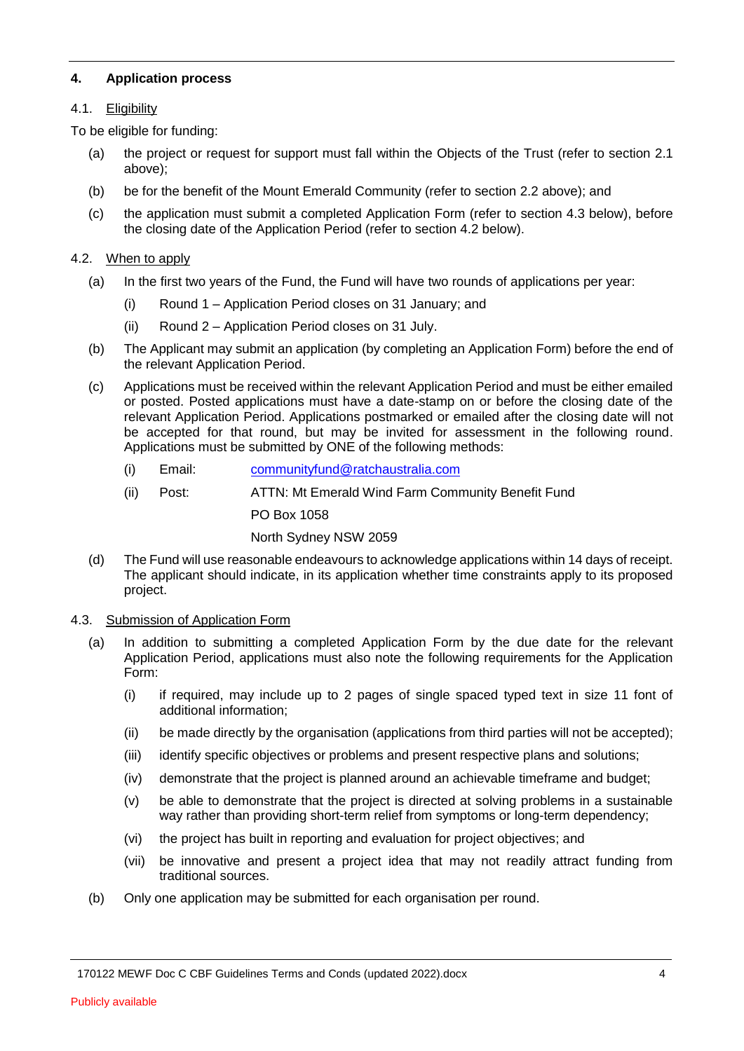## **4. Application process**

## 4.1. Eligibility

To be eligible for funding:

- (a) the project or request for support must fall within the Objects of the Trust (refer to section [2.1](#page-0-0) above);
- (b) be for the benefit of the Mount Emerald Community (refer to section [2.2](#page-1-1) above); and
- (c) the application must submit a completed Application Form (refer to section [4.3](#page-3-0) below), before the closing date of the Application Period (refer to section [4.2](#page-3-1) below).

## <span id="page-3-1"></span>4.2. When to apply

- (a) In the first two years of the Fund, the Fund will have two rounds of applications per year:
	- (i) Round 1 Application Period closes on 31 January; and
	- (ii) Round 2 Application Period closes on 31 July.
- (b) The Applicant may submit an application (by completing an Application Form) before the end of the relevant Application Period.
- (c) Applications must be received within the relevant Application Period and must be either emailed or posted. Posted applications must have a date-stamp on or before the closing date of the relevant Application Period. Applications postmarked or emailed after the closing date will not be accepted for that round, but may be invited for assessment in the following round. Applications must be submitted by ONE of the following methods:
	- (i) Email: [communityfund@ratchaustralia.com](mailto:communityfund@ratchaustralia.com)
	- (ii) Post: ATTN: Mt Emerald Wind Farm Community Benefit Fund

PO Box 1058

North Sydney NSW 2059

- (d) The Fund will use reasonable endeavours to acknowledge applications within 14 days of receipt. The applicant should indicate, in its application whether time constraints apply to its proposed project.
- <span id="page-3-0"></span>4.3. Submission of Application Form
	- (a) In addition to submitting a completed Application Form by the due date for the relevant Application Period, applications must also note the following requirements for the Application Form:
		- (i) if required, may include up to 2 pages of single spaced typed text in size 11 font of additional information;
		- (ii) be made directly by the organisation (applications from third parties will not be accepted);
		- (iii) identify specific objectives or problems and present respective plans and solutions;
		- (iv) demonstrate that the project is planned around an achievable timeframe and budget;
		- (v) be able to demonstrate that the project is directed at solving problems in a sustainable way rather than providing short-term relief from symptoms or long-term dependency;
		- (vi) the project has built in reporting and evaluation for project objectives; and
		- (vii) be innovative and present a project idea that may not readily attract funding from traditional sources.
	- (b) Only one application may be submitted for each organisation per round.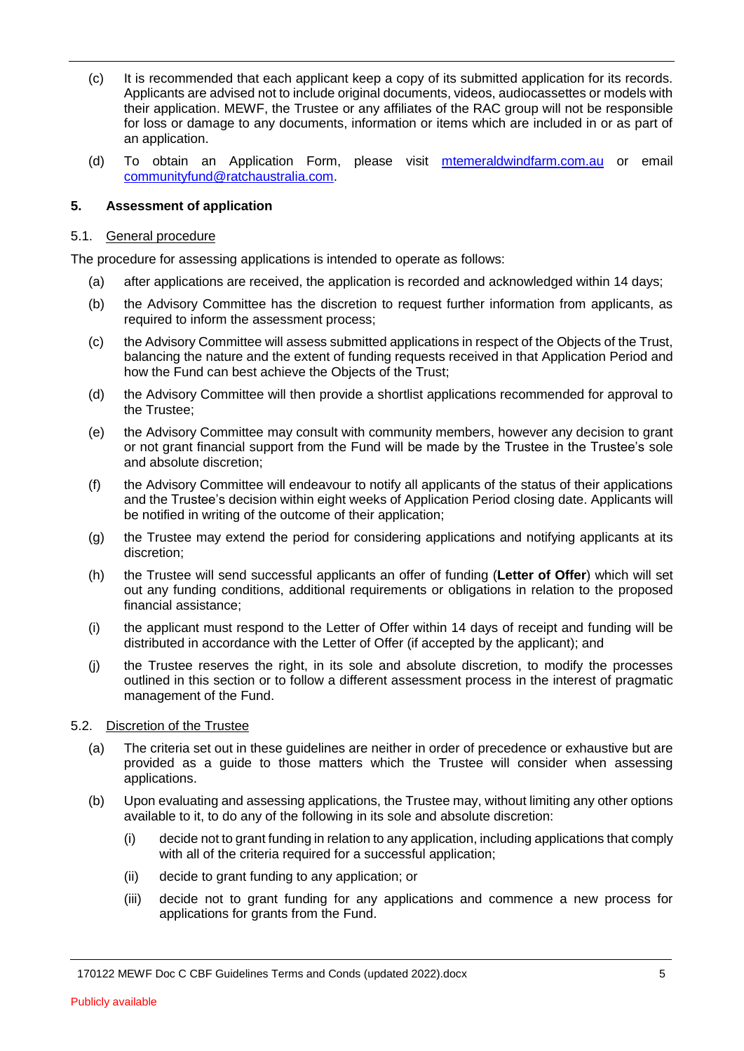- (c) It is recommended that each applicant keep a copy of its submitted application for its records. Applicants are advised not to include original documents, videos, audiocassettes or models with their application. MEWF, the Trustee or any affiliates of the RAC group will not be responsible for loss or damage to any documents, information or items which are included in or as part of an application.
- (d) To obtain an Application Form, please visit [mtemeraldwindfarm.com.au](http://mtemeraldwindfarm.com.au/community/) or email [communityfund@ratchaustralia.com.](mailto:communityfund@ratchaustralia.com)

#### **5. Assessment of application**

#### 5.1. General procedure

The procedure for assessing applications is intended to operate as follows:

- (a) after applications are received, the application is recorded and acknowledged within 14 days;
- (b) the Advisory Committee has the discretion to request further information from applicants, as required to inform the assessment process;
- (c) the Advisory Committee will assess submitted applications in respect of the Objects of the Trust, balancing the nature and the extent of funding requests received in that Application Period and how the Fund can best achieve the Objects of the Trust;
- (d) the Advisory Committee will then provide a shortlist applications recommended for approval to the Trustee;
- (e) the Advisory Committee may consult with community members, however any decision to grant or not grant financial support from the Fund will be made by the Trustee in the Trustee's sole and absolute discretion;
- (f) the Advisory Committee will endeavour to notify all applicants of the status of their applications and the Trustee's decision within eight weeks of Application Period closing date. Applicants will be notified in writing of the outcome of their application;
- (g) the Trustee may extend the period for considering applications and notifying applicants at its discretion;
- (h) the Trustee will send successful applicants an offer of funding (**Letter of Offer**) which will set out any funding conditions, additional requirements or obligations in relation to the proposed financial assistance;
- (i) the applicant must respond to the Letter of Offer within 14 days of receipt and funding will be distributed in accordance with the Letter of Offer (if accepted by the applicant); and
- (j) the Trustee reserves the right, in its sole and absolute discretion, to modify the processes outlined in this section or to follow a different assessment process in the interest of pragmatic management of the Fund.

#### 5.2. Discretion of the Trustee

- (a) The criteria set out in these guidelines are neither in order of precedence or exhaustive but are provided as a guide to those matters which the Trustee will consider when assessing applications.
- (b) Upon evaluating and assessing applications, the Trustee may, without limiting any other options available to it, to do any of the following in its sole and absolute discretion:
	- (i) decide not to grant funding in relation to any application, including applications that comply with all of the criteria required for a successful application;
	- (ii) decide to grant funding to any application; or
	- (iii) decide not to grant funding for any applications and commence a new process for applications for grants from the Fund.

<sup>170122</sup> MEWF Doc C CBF Guidelines Terms and Conds (updated 2022).docx 5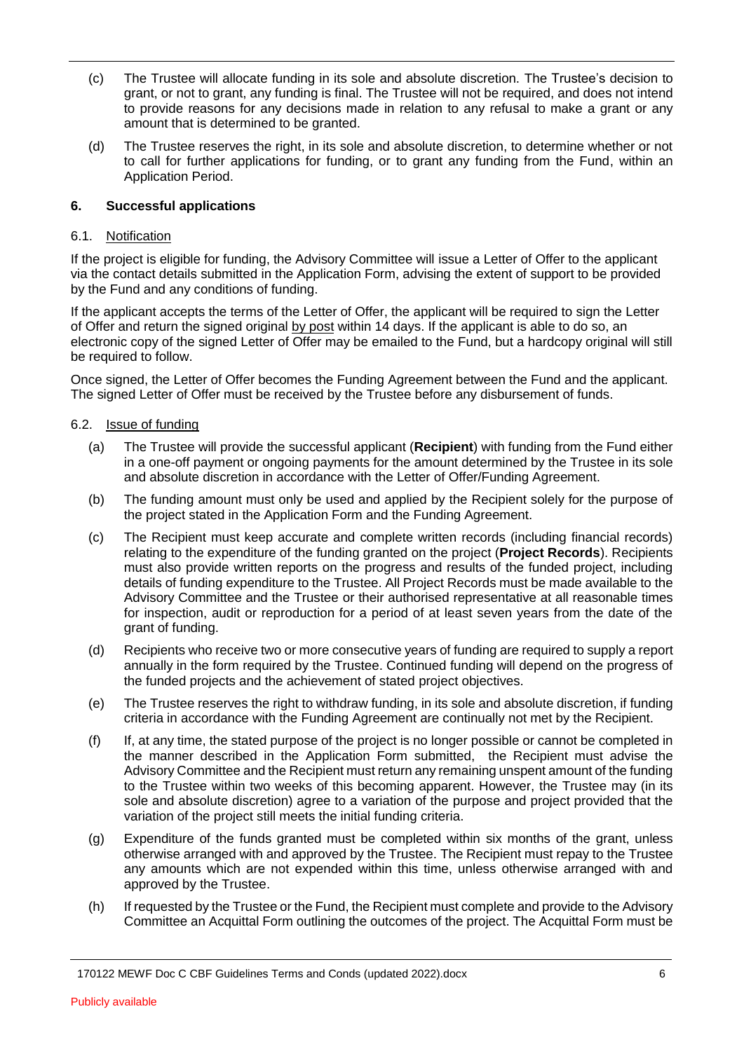- (c) The Trustee will allocate funding in its sole and absolute discretion. The Trustee's decision to grant, or not to grant, any funding is final. The Trustee will not be required, and does not intend to provide reasons for any decisions made in relation to any refusal to make a grant or any amount that is determined to be granted.
- (d) The Trustee reserves the right, in its sole and absolute discretion, to determine whether or not to call for further applications for funding, or to grant any funding from the Fund, within an Application Period.

# **6. Successful applications**

#### 6.1. Notification

If the project is eligible for funding, the Advisory Committee will issue a Letter of Offer to the applicant via the contact details submitted in the Application Form, advising the extent of support to be provided by the Fund and any conditions of funding.

If the applicant accepts the terms of the Letter of Offer, the applicant will be required to sign the Letter of Offer and return the signed original by post within 14 days. If the applicant is able to do so, an electronic copy of the signed Letter of Offer may be emailed to the Fund, but a hardcopy original will still be required to follow.

Once signed, the Letter of Offer becomes the Funding Agreement between the Fund and the applicant. The signed Letter of Offer must be received by the Trustee before any disbursement of funds.

#### 6.2. Issue of funding

- (a) The Trustee will provide the successful applicant (**Recipient**) with funding from the Fund either in a one-off payment or ongoing payments for the amount determined by the Trustee in its sole and absolute discretion in accordance with the Letter of Offer/Funding Agreement.
- (b) The funding amount must only be used and applied by the Recipient solely for the purpose of the project stated in the Application Form and the Funding Agreement.
- (c) The Recipient must keep accurate and complete written records (including financial records) relating to the expenditure of the funding granted on the project (**Project Records**). Recipients must also provide written reports on the progress and results of the funded project, including details of funding expenditure to the Trustee. All Project Records must be made available to the Advisory Committee and the Trustee or their authorised representative at all reasonable times for inspection, audit or reproduction for a period of at least seven years from the date of the grant of funding.
- (d) Recipients who receive two or more consecutive years of funding are required to supply a report annually in the form required by the Trustee. Continued funding will depend on the progress of the funded projects and the achievement of stated project objectives.
- (e) The Trustee reserves the right to withdraw funding, in its sole and absolute discretion, if funding criteria in accordance with the Funding Agreement are continually not met by the Recipient.
- (f) If, at any time, the stated purpose of the project is no longer possible or cannot be completed in the manner described in the Application Form submitted, the Recipient must advise the Advisory Committee and the Recipient must return any remaining unspent amount of the funding to the Trustee within two weeks of this becoming apparent. However, the Trustee may (in its sole and absolute discretion) agree to a variation of the purpose and project provided that the variation of the project still meets the initial funding criteria.
- (g) Expenditure of the funds granted must be completed within six months of the grant, unless otherwise arranged with and approved by the Trustee. The Recipient must repay to the Trustee any amounts which are not expended within this time, unless otherwise arranged with and approved by the Trustee.
- (h) If requested by the Trustee or the Fund, the Recipient must complete and provide to the Advisory Committee an Acquittal Form outlining the outcomes of the project. The Acquittal Form must be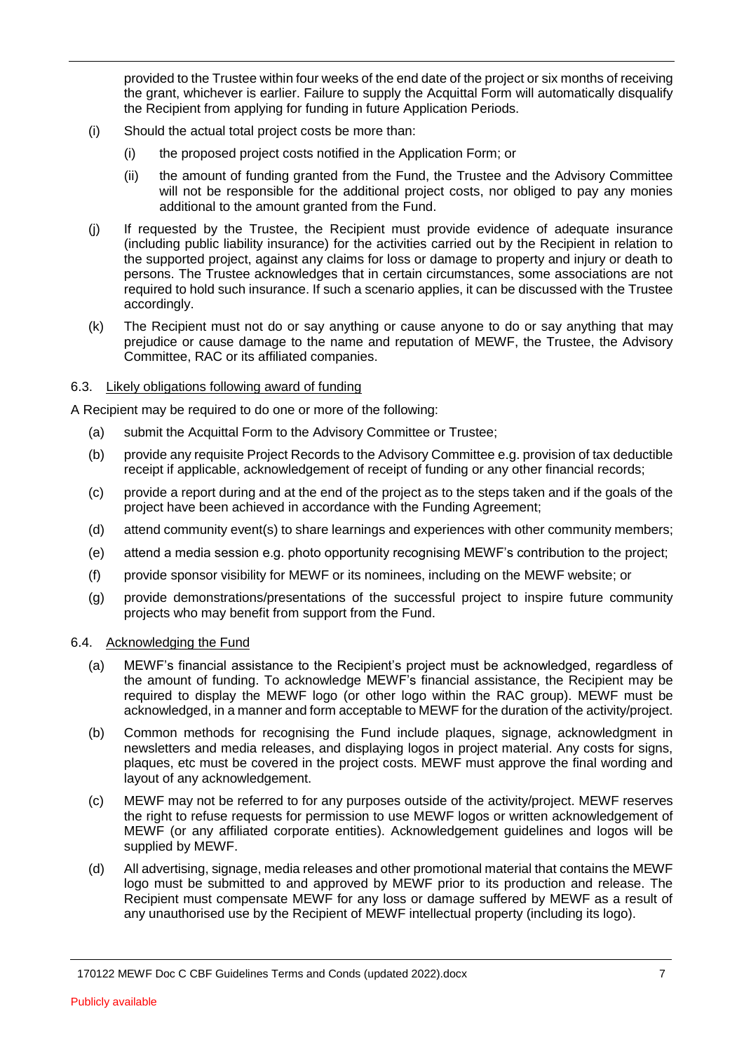provided to the Trustee within four weeks of the end date of the project or six months of receiving the grant, whichever is earlier. Failure to supply the Acquittal Form will automatically disqualify the Recipient from applying for funding in future Application Periods.

- (i) Should the actual total project costs be more than:
	- (i) the proposed project costs notified in the Application Form; or
	- (ii) the amount of funding granted from the Fund, the Trustee and the Advisory Committee will not be responsible for the additional project costs, nor obliged to pay any monies additional to the amount granted from the Fund.
- (j) If requested by the Trustee, the Recipient must provide evidence of adequate insurance (including public liability insurance) for the activities carried out by the Recipient in relation to the supported project, against any claims for loss or damage to property and injury or death to persons. The Trustee acknowledges that in certain circumstances, some associations are not required to hold such insurance. If such a scenario applies, it can be discussed with the Trustee accordingly.
- (k) The Recipient must not do or say anything or cause anyone to do or say anything that may prejudice or cause damage to the name and reputation of MEWF, the Trustee, the Advisory Committee, RAC or its affiliated companies.

## 6.3. Likely obligations following award of funding

A Recipient may be required to do one or more of the following:

- (a) submit the Acquittal Form to the Advisory Committee or Trustee;
- (b) provide any requisite Project Records to the Advisory Committee e.g. provision of tax deductible receipt if applicable, acknowledgement of receipt of funding or any other financial records;
- (c) provide a report during and at the end of the project as to the steps taken and if the goals of the project have been achieved in accordance with the Funding Agreement;
- (d) attend community event(s) to share learnings and experiences with other community members;
- (e) attend a media session e.g. photo opportunity recognising MEWF's contribution to the project;
- (f) provide sponsor visibility for MEWF or its nominees, including on the MEWF website; or
- (g) provide demonstrations/presentations of the successful project to inspire future community projects who may benefit from support from the Fund.

# 6.4. Acknowledging the Fund

- (a) MEWF's financial assistance to the Recipient's project must be acknowledged, regardless of the amount of funding. To acknowledge MEWF's financial assistance, the Recipient may be required to display the MEWF logo (or other logo within the RAC group). MEWF must be acknowledged, in a manner and form acceptable to MEWF for the duration of the activity/project.
- (b) Common methods for recognising the Fund include plaques, signage, acknowledgment in newsletters and media releases, and displaying logos in project material. Any costs for signs, plaques, etc must be covered in the project costs. MEWF must approve the final wording and layout of any acknowledgement.
- (c) MEWF may not be referred to for any purposes outside of the activity/project. MEWF reserves the right to refuse requests for permission to use MEWF logos or written acknowledgement of MEWF (or any affiliated corporate entities). Acknowledgement guidelines and logos will be supplied by MEWF.
- (d) All advertising, signage, media releases and other promotional material that contains the MEWF logo must be submitted to and approved by MEWF prior to its production and release. The Recipient must compensate MEWF for any loss or damage suffered by MEWF as a result of any unauthorised use by the Recipient of MEWF intellectual property (including its logo).

<sup>170122</sup> MEWF Doc C CBF Guidelines Terms and Conds (updated 2022).docx 7